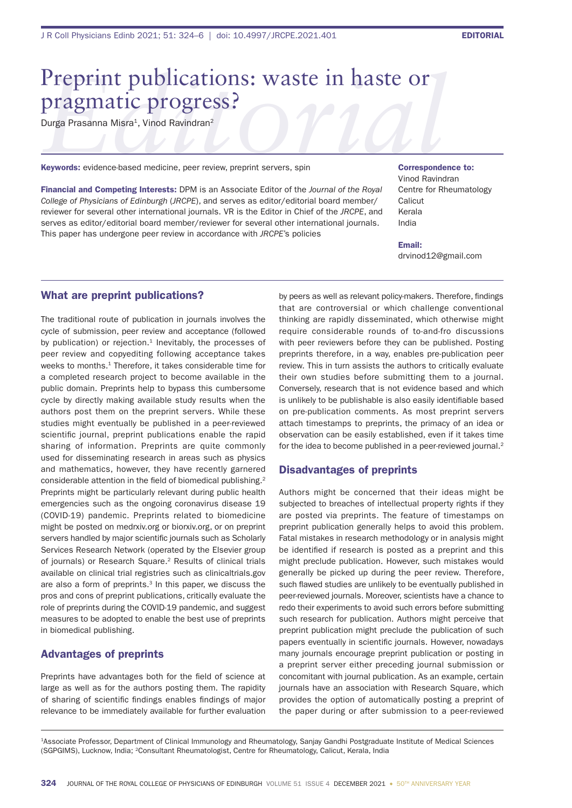# Preprint publications: waste in haste or pragmatic progress?

Durga Prasanna Misra<sup>1</sup>, Vinod Ravindran<sup>2</sup>

Keywords: evidence-based medicine, peer review, preprint servers, spin

Financial and Competing Interests: DPM is an Associate Editor of the *Journal of the Royal College of Physicians of Edinburgh* (*JRCPE*), and serves as editor/editorial board member/ reviewer for several other international journals. VR is the Editor in Chief of the *JRCPE*, and serves as editor/editorial board member/reviewer for several other international journals. This paper has undergone peer review in accordance with *JRCPE*'s policies

Correspondence to: Vinod Ravindran Centre for Rheumatology **Calicut** Kerala India

Email: drvinod12@gmail.com

#### What are preprint publications?

The traditional route of publication in journals involves the cycle of submission, peer review and acceptance (followed by publication) or rejection. $1$  Inevitably, the processes of peer review and copyediting following acceptance takes weeks to months.<sup>1</sup> Therefore, it takes considerable time for a completed research project to become available in the public domain. Preprints help to bypass this cumbersome cycle by directly making available study results when the authors post them on the preprint servers. While these studies might eventually be published in a peer-reviewed scientific journal, preprint publications enable the rapid sharing of information. Preprints are quite commonly used for disseminating research in areas such as physics and mathematics, however, they have recently garnered considerable attention in the field of biomedical publishing.<sup>2</sup> Preprints might be particularly relevant during public health emergencies such as the ongoing coronavirus disease 19 (COVID-19) pandemic. Preprints related to biomedicine might be posted on medrxiv.org or biorxiv.org, or on preprint servers handled by major scientific journals such as Scholarly Services Research Network (operated by the Elsevier group of journals) or Research Square.2 Results of clinical trials available on clinical trial registries such as clinicaltrials.gov are also a form of preprints.<sup>3</sup> In this paper, we discuss the pros and cons of preprint publications, critically evaluate the role of preprints during the COVID-19 pandemic, and suggest measures to be adopted to enable the best use of preprints in biomedical publishing.

### Advantages of preprints

Preprints have advantages both for the field of science at large as well as for the authors posting them. The rapidity of sharing of scientific findings enables findings of major relevance to be immediately available for further evaluation

by peers as well as relevant policy-makers. Therefore, findings that are controversial or which challenge conventional thinking are rapidly disseminated, which otherwise might require considerable rounds of to-and-fro discussions with peer reviewers before they can be published. Posting preprints therefore, in a way, enables pre-publication peer review. This in turn assists the authors to critically evaluate their own studies before submitting them to a journal. Conversely, research that is not evidence based and which is unlikely to be publishable is also easily identifiable based on pre-publication comments. As most preprint servers attach timestamps to preprints, the primacy of an idea or observation can be easily established, even if it takes time for the idea to become published in a peer-reviewed journal.<sup>2</sup>

### Disadvantages of preprints

Authors might be concerned that their ideas might be subjected to breaches of intellectual property rights if they are posted via preprints. The feature of timestamps on preprint publication generally helps to avoid this problem. Fatal mistakes in research methodology or in analysis might be identified if research is posted as a preprint and this might preclude publication. However, such mistakes would generally be picked up during the peer review. Therefore, such flawed studies are unlikely to be eventually published in peer-reviewed journals. Moreover, scientists have a chance to redo their experiments to avoid such errors before submitting such research for publication. Authors might perceive that preprint publication might preclude the publication of such papers eventually in scientific journals. However, nowadays many journals encourage preprint publication or posting in a preprint server either preceding journal submission or concomitant with journal publication. As an example, certain journals have an association with Research Square, which provides the option of automatically posting a preprint of the paper during or after submission to a peer-reviewed

1Associate Professor, Department of Clinical Immunology and Rheumatology, Sanjay Gandhi Postgraduate Institute of Medical Sciences (SGPGIMS), Lucknow, India; 2Consultant Rheumatologist, Centre for Rheumatology, Calicut, Kerala, India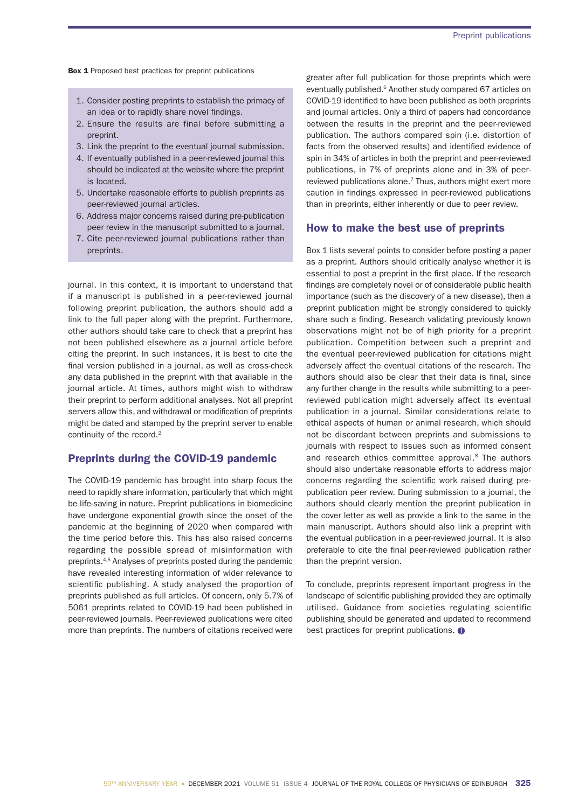**Box 1** Proposed best practices for preprint publications

- 1. Consider posting preprints to establish the primacy of an idea or to rapidly share novel findings.
- 2. Ensure the results are final before submitting a preprint.
- 3. Link the preprint to the eventual journal submission.
- 4. If eventually published in a peer-reviewed journal this should be indicated at the website where the preprint is located.
- 5. Undertake reasonable efforts to publish preprints as peer-reviewed journal articles.
- 6. Address major concerns raised during pre-publication peer review in the manuscript submitted to a journal.
- 7. Cite peer-reviewed journal publications rather than preprints.

journal. In this context, it is important to understand that if a manuscript is published in a peer-reviewed journal following preprint publication, the authors should add a link to the full paper along with the preprint. Furthermore, other authors should take care to check that a preprint has not been published elsewhere as a journal article before citing the preprint. In such instances, it is best to cite the final version published in a journal, as well as cross-check any data published in the preprint with that available in the journal article. At times, authors might wish to withdraw their preprint to perform additional analyses. Not all preprint servers allow this, and withdrawal or modification of preprints might be dated and stamped by the preprint server to enable continuity of the record.<sup>2</sup>

## Preprints during the COVID-19 pandemic

The COVID-19 pandemic has brought into sharp focus the need to rapidly share information, particularly that which might be life-saving in nature. Preprint publications in biomedicine have undergone exponential growth since the onset of the pandemic at the beginning of 2020 when compared with the time period before this. This has also raised concerns regarding the possible spread of misinformation with preprints.4,5 Analyses of preprints posted during the pandemic have revealed interesting information of wider relevance to scientific publishing. A study analysed the proportion of preprints published as full articles. Of concern, only 5.7% of 5061 preprints related to COVID-19 had been published in peer-reviewed journals. Peer-reviewed publications were cited more than preprints. The numbers of citations received were greater after full publication for those preprints which were eventually published.<sup>6</sup> Another study compared 67 articles on COVID-19 identified to have been published as both preprints and journal articles. Only a third of papers had concordance between the results in the preprint and the peer-reviewed publication. The authors compared spin (i.e. distortion of facts from the observed results) and identified evidence of spin in 34% of articles in both the preprint and peer-reviewed publications, in 7% of preprints alone and in 3% of peerreviewed publications alone.<sup>7</sup> Thus, authors might exert more caution in findings expressed in peer-reviewed publications than in preprints, either inherently or due to peer review.

#### How to make the best use of preprints

Box 1 lists several points to consider before posting a paper as a preprint. Authors should critically analyse whether it is essential to post a preprint in the first place. If the research findings are completely novel or of considerable public health importance (such as the discovery of a new disease), then a preprint publication might be strongly considered to quickly share such a finding. Research validating previously known observations might not be of high priority for a preprint publication. Competition between such a preprint and the eventual peer-reviewed publication for citations might adversely affect the eventual citations of the research. The authors should also be clear that their data is final, since any further change in the results while submitting to a peerreviewed publication might adversely affect its eventual publication in a journal. Similar considerations relate to ethical aspects of human or animal research, which should not be discordant between preprints and submissions to journals with respect to issues such as informed consent and research ethics committee approval.<sup>8</sup> The authors should also undertake reasonable efforts to address major concerns regarding the scientific work raised during prepublication peer review. During submission to a journal, the authors should clearly mention the preprint publication in the cover letter as well as provide a link to the same in the main manuscript. Authors should also link a preprint with the eventual publication in a peer-reviewed journal. It is also preferable to cite the final peer-reviewed publication rather than the preprint version.

To conclude, preprints represent important progress in the landscape of scientific publishing provided they are optimally utilised. Guidance from societies regulating scientific publishing should be generated and updated to recommend best practices for preprint publications.  $\bullet$